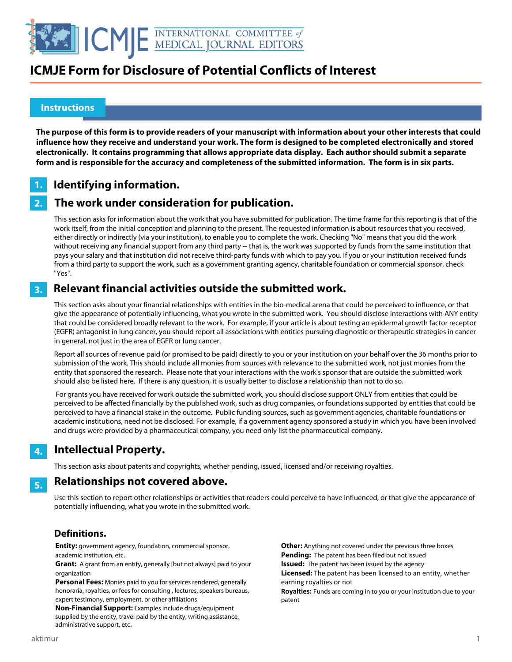

## **ICMJE Form for Disclosure of Potential Conflicts of Interest**

#### **Instructions**

l

**The purpose of this form is to provide readers of your manuscript with information about your other interests that could influence how they receive and understand your work. The form is designed to be completed electronically and stored electronically. It contains programming that allows appropriate data display. Each author should submit a separate form and is responsible for the accuracy and completeness of the submitted information. The form is in six parts.** 

#### **Identifying information. 1.**

#### **The work under consideration for publication. 2.**

This section asks for information about the work that you have submitted for publication. The time frame for this reporting is that of the work itself, from the initial conception and planning to the present. The requested information is about resources that you received, either directly or indirectly (via your institution), to enable you to complete the work. Checking "No" means that you did the work without receiving any financial support from any third party -- that is, the work was supported by funds from the same institution that pays your salary and that institution did not receive third-party funds with which to pay you. If you or your institution received funds from a third party to support the work, such as a government granting agency, charitable foundation or commercial sponsor, check "Yes".

#### **Relevant financial activities outside the submitted work. 3.**

This section asks about your financial relationships with entities in the bio-medical arena that could be perceived to influence, or that give the appearance of potentially influencing, what you wrote in the submitted work. You should disclose interactions with ANY entity that could be considered broadly relevant to the work. For example, if your article is about testing an epidermal growth factor receptor (EGFR) antagonist in lung cancer, you should report all associations with entities pursuing diagnostic or therapeutic strategies in cancer in general, not just in the area of EGFR or lung cancer.

Report all sources of revenue paid (or promised to be paid) directly to you or your institution on your behalf over the 36 months prior to submission of the work. This should include all monies from sources with relevance to the submitted work, not just monies from the entity that sponsored the research. Please note that your interactions with the work's sponsor that are outside the submitted work should also be listed here. If there is any question, it is usually better to disclose a relationship than not to do so.

 For grants you have received for work outside the submitted work, you should disclose support ONLY from entities that could be perceived to be affected financially by the published work, such as drug companies, or foundations supported by entities that could be perceived to have a financial stake in the outcome. Public funding sources, such as government agencies, charitable foundations or academic institutions, need not be disclosed. For example, if a government agency sponsored a study in which you have been involved and drugs were provided by a pharmaceutical company, you need only list the pharmaceutical company.

#### **Intellectual Property. 4.**

This section asks about patents and copyrights, whether pending, issued, licensed and/or receiving royalties.

#### **Relationships not covered above. 5.**

Use this section to report other relationships or activities that readers could perceive to have influenced, or that give the appearance of potentially influencing, what you wrote in the submitted work.

### **Definitions.**

**Entity:** government agency, foundation, commercial sponsor, academic institution, etc.

**Grant:** A grant from an entity, generally [but not always] paid to your organization

**Personal Fees:** Monies paid to you for services rendered, generally honoraria, royalties, or fees for consulting , lectures, speakers bureaus, expert testimony, employment, or other affiliations

**Non-Financial Support:** Examples include drugs/equipment supplied by the entity, travel paid by the entity, writing assistance, administrative support, etc**.**

**Other:** Anything not covered under the previous three boxes **Pending:** The patent has been filed but not issued **Issued:** The patent has been issued by the agency **Licensed:** The patent has been licensed to an entity, whether earning royalties or not

**Royalties:** Funds are coming in to you or your institution due to your patent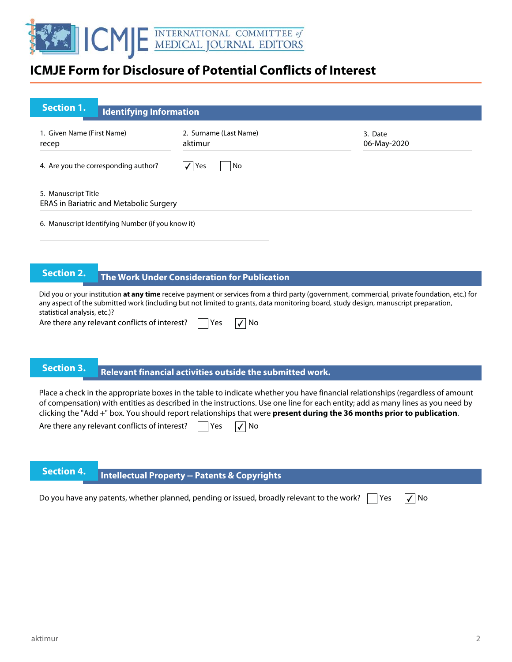

## **ICMJE Form for Disclosure of Potential Conflicts of Interest**

| <b>Section 1.</b>                                                     | <b>Identifying Information</b>                    |                                   |                        |  |  |  |
|-----------------------------------------------------------------------|---------------------------------------------------|-----------------------------------|------------------------|--|--|--|
| 1. Given Name (First Name)<br>recep                                   |                                                   | 2. Surname (Last Name)<br>aktimur | 3. Date<br>06-May-2020 |  |  |  |
| 4. Are you the corresponding author?                                  |                                                   | $\sqrt{Y}$<br>No                  |                        |  |  |  |
| 5. Manuscript Title<br><b>ERAS in Bariatric and Metabolic Surgery</b> |                                                   |                                   |                        |  |  |  |
|                                                                       | 6. Manuscript Identifying Number (if you know it) |                                   |                        |  |  |  |

# **The Work Under Consideration for Publication**

Did you or your institution **at any time** receive payment or services from a third party (government, commercial, private foundation, etc.) for any aspect of the submitted work (including but not limited to grants, data monitoring board, study design, manuscript preparation, statistical analysis, etc.)?

| Are there any relevant conflicts of interest? | l Yes |  | $\vert\bm\sqrt{}\vert$ No |
|-----------------------------------------------|-------|--|---------------------------|
|-----------------------------------------------|-------|--|---------------------------|

### **Relevant financial activities outside the submitted work. Section 3. Relevant financial activities outset**

Place a check in the appropriate boxes in the table to indicate whether you have financial relationships (regardless of amount of compensation) with entities as described in the instructions. Use one line for each entity; add as many lines as you need by clicking the "Add +" box. You should report relationships that were **present during the 36 months prior to publication**.

| Are there any relevant conflicts of interest? | Yes | $\sqrt{}$ No |  |
|-----------------------------------------------|-----|--------------|--|
|-----------------------------------------------|-----|--------------|--|

### **Intellectual Property -- Patents & Copyrights Section 4.**

Do you have any patents, whether planned, pending or issued, broadly relevant to the work?  $\Box$  Yes  $\Box$  No